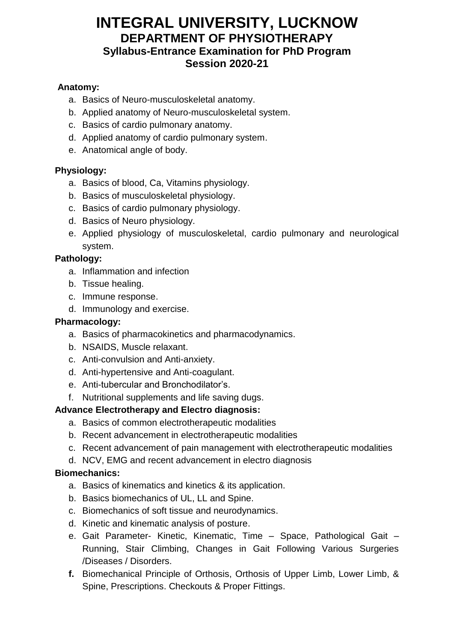# **INTEGRAL UNIVERSITY, LUCKNOW DEPARTMENT OF PHYSIOTHERAPY Syllabus-Entrance Examination for PhD Program Session 2020-21**

#### **Anatomy:**

- a. Basics of Neuro-musculoskeletal anatomy.
- b. Applied anatomy of Neuro-musculoskeletal system.
- c. Basics of cardio pulmonary anatomy.
- d. Applied anatomy of cardio pulmonary system.
- e. Anatomical angle of body.

#### **Physiology:**

- a. Basics of blood, Ca, Vitamins physiology.
- b. Basics of musculoskeletal physiology.
- c. Basics of cardio pulmonary physiology.
- d. Basics of Neuro physiology.
- e. Applied physiology of musculoskeletal, cardio pulmonary and neurological system.

#### **Pathology:**

- a. Inflammation and infection
- b. Tissue healing.
- c. Immune response.
- d. Immunology and exercise.

#### **Pharmacology:**

- a. Basics of pharmacokinetics and pharmacodynamics.
- b. NSAIDS, Muscle relaxant.
- c. Anti-convulsion and Anti-anxiety.
- d. Anti-hypertensive and Anti-coagulant.
- e. Anti-tubercular and Bronchodilator's.
- f. Nutritional supplements and life saving dugs.

#### **Advance Electrotherapy and Electro diagnosis:**

- a. Basics of common electrotherapeutic modalities
- b. Recent advancement in electrotherapeutic modalities
- c. Recent advancement of pain management with electrotherapeutic modalities
- d. NCV, EMG and recent advancement in electro diagnosis

#### **Biomechanics:**

- a. Basics of kinematics and kinetics & its application.
- b. Basics biomechanics of UL, LL and Spine.
- c. Biomechanics of soft tissue and neurodynamics.
- d. Kinetic and kinematic analysis of posture.
- e. Gait Parameter- Kinetic, Kinematic, Time Space, Pathological Gait Running, Stair Climbing, Changes in Gait Following Various Surgeries /Diseases / Disorders.
- **f.** Biomechanical Principle of Orthosis, Orthosis of Upper Limb, Lower Limb, & Spine, Prescriptions. Checkouts & Proper Fittings.